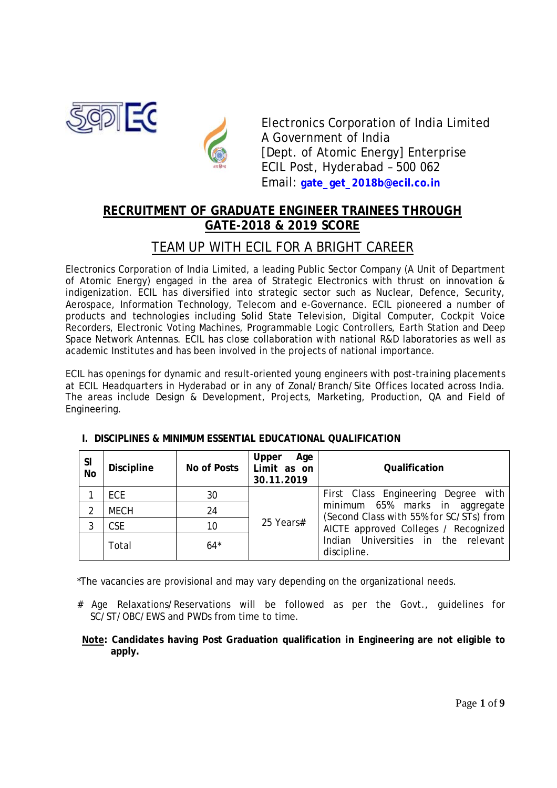



Electronics Corporation of India Limited A Government of India [Dept. of Atomic Energy] Enterprise ECIL Post, Hyderabad – 500 062 Email: **gate\_get\_2018b@ecil.co.in**

# **RECRUITMENT OF GRADUATE ENGINEER TRAINEES THROUGH GATE-2018 & 2019 SCORE**

# TEAM UP WITH ECIL FOR A BRIGHT CAREER

Electronics Corporation of India Limited, a leading Public Sector Company (A Unit of Department of Atomic Energy) engaged in the area of Strategic Electronics with thrust on innovation & indigenization. ECIL has diversified into strategic sector such as Nuclear, Defence, Security, Aerospace, Information Technology, Telecom and e-Governance. ECIL pioneered a number of products and technologies including Solid State Television, Digital Computer, Cockpit Voice Recorders, Electronic Voting Machines, Programmable Logic Controllers, Earth Station and Deep Space Network Antennas. ECIL has close collaboration with national R&D laboratories as well as academic Institutes and has been involved in the projects of national importance.

ECIL has openings for dynamic and result-oriented young engineers with post-training placements at ECIL Headquarters in Hyderabad or in any of Zonal/Branch/Site Offices located across India. The areas include Design & Development, Projects, Marketing, Production, QA and Field of Engineering.

| <b>SI</b><br><b>No</b> | <b>Discipline</b> | <b>No of Posts</b> | Age<br><b>Upper</b><br>Limit as on<br>30.11.2019 | <b>Qualification</b>                                                      |  |  |  |
|------------------------|-------------------|--------------------|--------------------------------------------------|---------------------------------------------------------------------------|--|--|--|
|                        | <b>ECE</b>        | 30                 | 25 Years#                                        | First Class Engineering Degree with                                       |  |  |  |
| 2                      | <b>MECH</b>       | 24                 |                                                  | minimum 65% marks in aggregate<br>(Second Class with 55% for SC/STs) from |  |  |  |
| 3                      | <b>CSE</b>        | 10                 |                                                  | AICTE approved Colleges / Recognized                                      |  |  |  |
|                        | Total             | $64*$              |                                                  | Indian Universities in the relevant<br>discipline.                        |  |  |  |

# **I. DISCIPLINES & MINIMUM ESSENTIAL EDUCATIONAL QUALIFICATION**

\*The vacancies are provisional and may vary depending on the organizational needs.

- # Age Relaxations/Reservations will be followed as per the Govt., guidelines for SC/ST/OBC/EWS and PWDs from time to time.
- **Note: Candidates having Post Graduation qualification in Engineering are not eligible to apply.**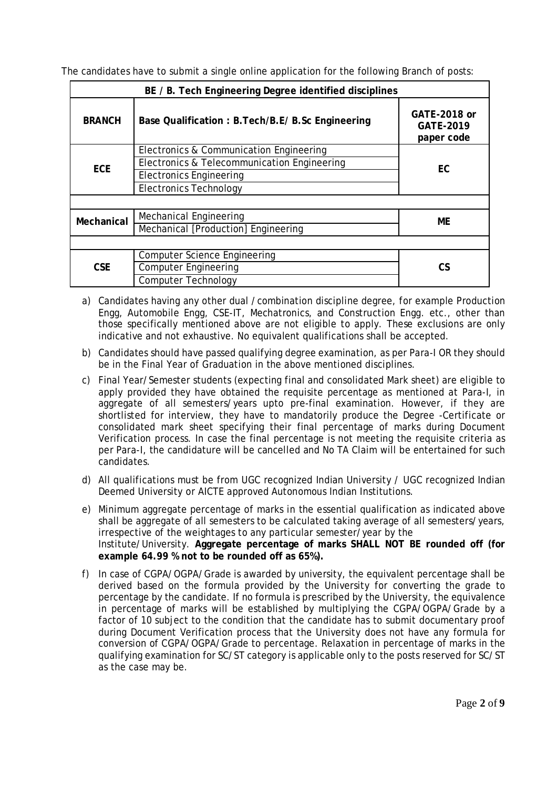The candidates have to submit a single online application for the following Branch of posts:

| BE / B. Tech Engineering Degree identified disciplines |                                                  |                                                       |  |  |
|--------------------------------------------------------|--------------------------------------------------|-------------------------------------------------------|--|--|
| <b>BRANCH</b>                                          | Base Qualification: B.Tech/B.E/ B.Sc Engineering | <b>GATE-2018 or</b><br><b>GATE-2019</b><br>paper code |  |  |
|                                                        | Electronics & Communication Engineering          | <b>EC</b>                                             |  |  |
| <b>ECE</b>                                             | Electronics & Telecommunication Engineering      |                                                       |  |  |
|                                                        | <b>Electronics Engineering</b>                   |                                                       |  |  |
|                                                        | <b>Electronics Technology</b>                    |                                                       |  |  |
|                                                        |                                                  |                                                       |  |  |
| <b>Mechanical</b>                                      | Mechanical Engineering                           | <b>ME</b>                                             |  |  |
|                                                        | Mechanical [Production] Engineering              |                                                       |  |  |
|                                                        |                                                  |                                                       |  |  |
|                                                        | <b>Computer Science Engineering</b>              |                                                       |  |  |
| <b>CSE</b>                                             | <b>Computer Engineering</b>                      | <b>CS</b>                                             |  |  |
|                                                        | <b>Computer Technology</b>                       |                                                       |  |  |

- a) Candidates having any other dual /combination discipline degree, for example Production Engg, Automobile Engg, CSE-IT, Mechatronics, and Construction Engg. etc., other than those specifically mentioned above are not eligible to apply. These exclusions are only indicative and not exhaustive. No equivalent qualifications shall be accepted.
- b) Candidates should have passed qualifying degree examination, as per Para-I OR they should be in the Final Year of Graduation in the above mentioned disciplines.
- c) Final Year/Semester students (expecting final and consolidated Mark sheet) are eligible to apply provided they have obtained the requisite percentage as mentioned at Para-I, in aggregate of all semesters/years upto pre-final examination. However, if they are shortlisted for interview, they have to mandatorily produce the Degree -Certificate or consolidated mark sheet specifying their final percentage of marks during Document Verification process. In case the final percentage is not meeting the requisite criteria as per Para-I, the candidature will be cancelled and No TA Claim will be entertained for such candidates.
- d) All qualifications must be from UGC recognized Indian University / UGC recognized Indian Deemed University or AICTE approved Autonomous Indian Institutions.
- e) Minimum aggregate percentage of marks in the essential qualification as indicated above shall be aggregate of all semesters to be calculated taking average of all semesters/years, irrespective of the weightages to any particular semester/year by the Institute/University. **Aggregate percentage of marks SHALL NOT BE rounded off (for example 64.99 % not to be rounded off as 65%).**
- f) In case of CGPA/OGPA/Grade is awarded by university, the equivalent percentage shall be derived based on the formula provided by the University for converting the grade to percentage by the candidate. If no formula is prescribed by the University, the equivalence in percentage of marks will be established by multiplying the CGPA/OGPA/Grade by a factor of 10 subject to the condition that the candidate has to submit documentary proof during Document Verification process that the University does not have any formula for conversion of CGPA/OGPA/Grade to percentage. Relaxation in percentage of marks in the qualifying examination for SC/ST category is applicable only to the posts reserved for SC/ST as the case may be.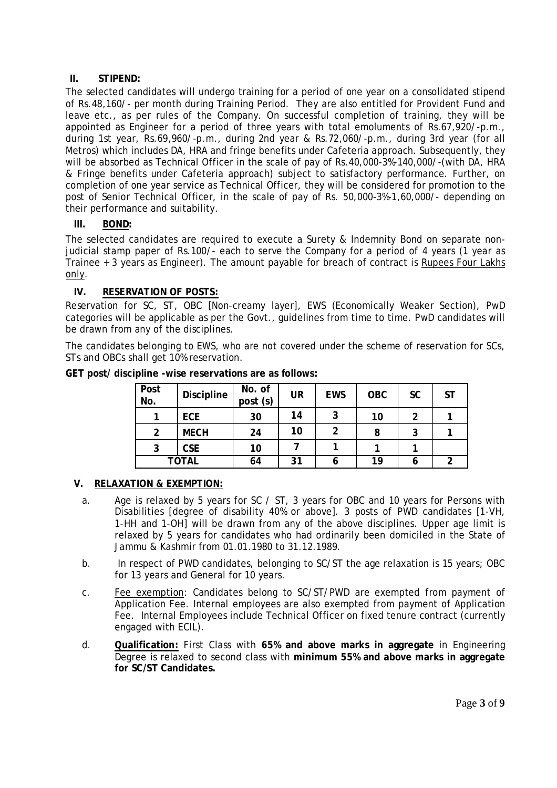# **II. STIPEND:**

The selected candidates will undergo training for a period of one year on a consolidated stipend of Rs.48,160/- per month during Training Period. They are also entitled for Provident Fund and leave etc., as per rules of the Company. On successful completion of training, they will be appointed as Engineer for a period of three years with total emoluments of Rs.67,920/-p.m., during 1st year, Rs.69,960/-p.m., during 2nd year & Rs.72,060/-p.m., during 3rd year (for all Metros) which includes DA, HRA and fringe benefits under Cafeteria approach. Subsequently, they will be absorbed as Technical Officer in the scale of pay of Rs.40,000-3%-140,000/-(with DA, HRA & Fringe benefits under Cafeteria approach) subject to satisfactory performance. Further, on completion of one year service as Technical Officer, they will be considered for promotion to the post of Senior Technical Officer, in the scale of pay of Rs. 50,000-3%-1,60,000/- depending on their performance and suitability.

# **III. BOND:**

The selected candidates are required to execute a Surety & Indemnity Bond on separate nonjudicial stamp paper of Rs.100/- each to serve the Company for a period of 4 years (1 year as Trainee + 3 years as Engineer). The amount payable for breach of contract is Rupees Four Lakhs only.

# **IV. RESERVATION OF POSTS:**

Reservation for SC, ST, OBC [Non-creamy layer], EWS (Economically Weaker Section), PwD categories will be applicable as per the Govt., guidelines from time to time. PwD candidates will be drawn from any of the disciplines.

The candidates belonging to EWS, who are not covered under the scheme of reservation for SCs, STs and OBCs shall get 10% reservation.

| <b>Post</b><br>No. | <b>Discipline</b> | No. of<br>post (s) | <b>UR</b> | <b>EWS</b> | <b>OBC</b> | <b>SC</b> | <b>ST</b> |
|--------------------|-------------------|--------------------|-----------|------------|------------|-----------|-----------|
|                    | <b>ECE</b>        | 30                 | 14        | 2<br>J     | 10         | າ         |           |
| 2                  | <b>MECH</b>       | 24                 | 10        | 2          | 8          |           |           |
| 3                  | <b>CSE</b>        | 10                 |           |            |            |           |           |
|                    | <b>TOTAL</b>      | 64                 | 31        |            | 19         | o         | ົ         |

**GET post/ discipline -wise reservations are as follows:**

# **V. RELAXATION & EXEMPTION:**

- a. Age is relaxed by 5 years for SC / ST, 3 years for OBC and 10 years for Persons with Disabilities [degree of disability 40% or above]. 3 posts of PWD candidates [1-VH, 1-HH and 1-OH] will be drawn from any of the above disciplines. Upper age limit is relaxed by 5 years for candidates who had ordinarily been domiciled in the State of Jammu & Kashmir from 01.01.1980 to 31.12.1989.
- b. In respect of PWD candidates, belonging to SC/ST the age relaxation is 15 years; OBC for 13 years and General for 10 years.
- c. Fee exemption: Candidates belong to SC/ST/PWD are exempted from payment of Application Fee. Internal employees are also exempted from payment of Application Fee. Internal Employees include Technical Officer on fixed tenure contract (currently engaged with ECIL).
- d. **Qualification:** First Class with **65% and above marks in aggregate** in Engineering Degree is relaxed to second class with **minimum 55% and above marks in aggregate for SC/ST Candidates.**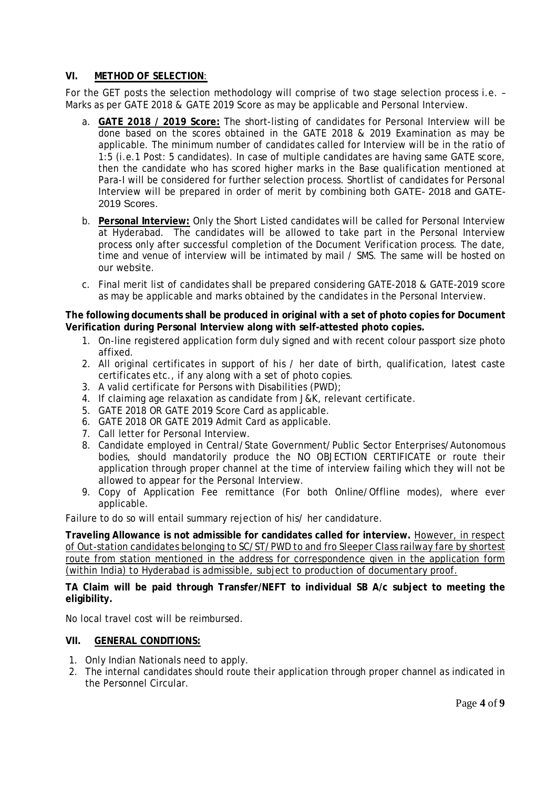#### **VI. METHOD OF SELECTION**:

For the GET posts the selection methodology will comprise of two stage selection process i.e. – Marks as per GATE 2018 & GATE 2019 Score as may be applicable and Personal Interview.

- a. **GATE 2018 / 2019 Score:** The short-listing of candidates for Personal Interview will be done based on the scores obtained in the GATE 2018 & 2019 Examination as may be applicable. The minimum number of candidates called for Interview will be in the ratio of 1:5 (i.e.1 Post: 5 candidates). In case of multiple candidates are having same GATE score, then the candidate who has scored higher marks in the Base qualification mentioned at Para-I will be considered for further selection process. Shortlist of candidates for Personal Interview will be prepared in order of merit by combining both GATE- 2018 and GATE-2019 Scores.
- b. **Personal Interview:** Only the Short Listed candidates will be called for Personal Interview at Hyderabad. The candidates will be allowed to take part in the Personal Interview process only after successful completion of the Document Verification process. The date, time and venue of interview will be intimated by mail / SMS. The same will be hosted on our website.
- c. Final merit list of candidates shall be prepared considering GATE-2018 & GATE-2019 score as may be applicable and marks obtained by the candidates in the Personal Interview.

#### **The following documents shall be produced in original with a set of photo copies for Document Verification during Personal Interview along with self-attested photo copies.**

- 1. On-line registered application form duly signed and with recent colour passport size photo affixed.
- 2. All original certificates in support of his / her date of birth, qualification, latest caste certificates etc., if any along with a set of photo copies.
- 3. A valid certificate for Persons with Disabilities (PWD);
- 4. If claiming age relaxation as candidate from J&K, relevant certificate.
- 5. GATE 2018 OR GATE 2019 Score Card as applicable.
- 6. GATE 2018 OR GATE 2019 Admit Card as applicable.
- 7. Call letter for Personal Interview.
- 8. Candidate employed in Central/State Government/Public Sector Enterprises/Autonomous bodies, should mandatorily produce the NO OBJECTION CERTIFICATE or route their application through proper channel at the time of interview failing which they will not be allowed to appear for the Personal Interview.
- 9. Copy of Application Fee remittance (For both Online/Offline modes), where ever applicable.

Failure to do so will entail summary rejection of his/ her candidature.

**Traveling Allowance is not admissible for candidates called for interview.** However, in respect of Out-station candidates belonging to SC/ST/PWD to and fro Sleeper Class railway fare by shortest route from station mentioned in the address for correspondence given in the application form (within India) to Hyderabad is admissible, subject to production of documentary proof.

#### **TA Claim will be paid through Transfer/NEFT to individual SB A/c subject to meeting the eligibility.**

No local travel cost will be reimbursed.

### **VII. GENERAL CONDITIONS:**

- 1. Only Indian Nationals need to apply.
- 2. The internal candidates should route their application through proper channel as indicated in the Personnel Circular.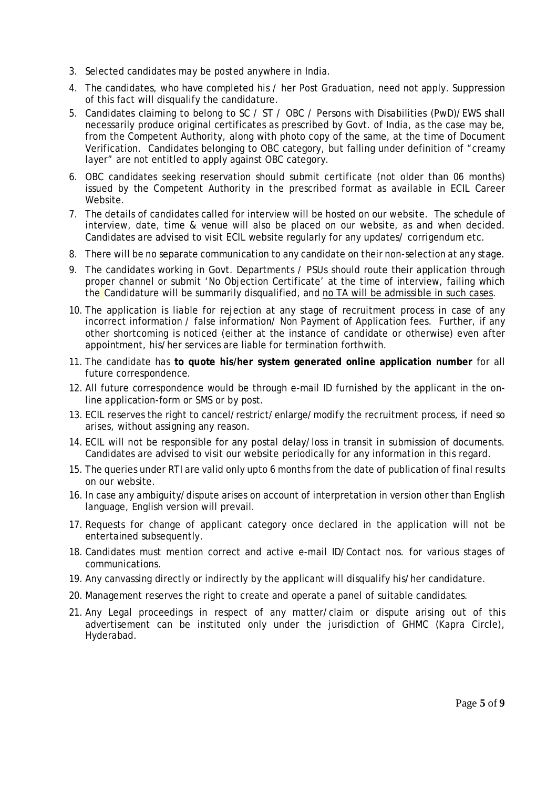- 3. Selected candidates may be posted anywhere in India.
- 4. The candidates, who have completed his / her Post Graduation, need not apply. Suppression of this fact will disqualify the candidature.
- 5. Candidates claiming to belong to SC / ST / OBC / Persons with Disabilities (PwD)/EWS shall necessarily produce original certificates as prescribed by Govt. of India, as the case may be, from the Competent Authority, along with photo copy of the same, at the time of Document Verification. Candidates belonging to OBC category, but falling under definition of "creamy layer" are not entitled to apply against OBC category.
- 6. OBC candidates seeking reservation should submit certificate (not older than 06 months) issued by the Competent Authority in the prescribed format as available in ECIL Career Website.
- 7. The details of candidates called for interview will be hosted on our website. The schedule of interview, date, time & venue will also be placed on our website, as and when decided. Candidates are advised to visit ECIL website regularly for any updates/ corrigendum etc.
- 8. There will be no separate communication to any candidate on their non-selection at any stage.
- 9. The candidates working in Govt. Departments / PSUs should route their application through proper channel or submit 'No Objection Certificate' at the time of interview, failing which the Candidature will be summarily disqualified, and no TA will be admissible in such cases.
- 10. The application is liable for rejection at any stage of recruitment process in case of any incorrect information / false information/ Non Payment of Application fees. Further, if any other shortcoming is noticed (either at the instance of candidate or otherwise) even after appointment, his/her services are liable for termination forthwith.
- 11. The candidate has **to quote his/her system generated online application number** for all future correspondence.
- 12. All future correspondence would be through e-mail ID furnished by the applicant in the online application-form or SMS or by post.
- 13. ECIL reserves the right to cancel/restrict/enlarge/modify the recruitment process, if need so arises, without assigning any reason.
- 14. ECIL will not be responsible for any postal delay/loss in transit in submission of documents. Candidates are advised to visit our website periodically for any information in this regard.
- 15. The queries under RTI are valid only upto 6 months from the date of publication of final results on our website.
- 16. In case any ambiguity/dispute arises on account of interpretation in version other than English language, English version will prevail.
- 17. Requests for change of applicant category once declared in the application will not be entertained subsequently.
- 18. Candidates must mention correct and active e-mail ID/Contact nos. for various stages of communications.
- 19. Any canvassing directly or indirectly by the applicant will disqualify his/her candidature.
- 20. Management reserves the right to create and operate a panel of suitable candidates.
- 21. Any Legal proceedings in respect of any matter/claim or dispute arising out of this advertisement can be instituted only under the jurisdiction of GHMC (Kapra Circle), Hyderabad.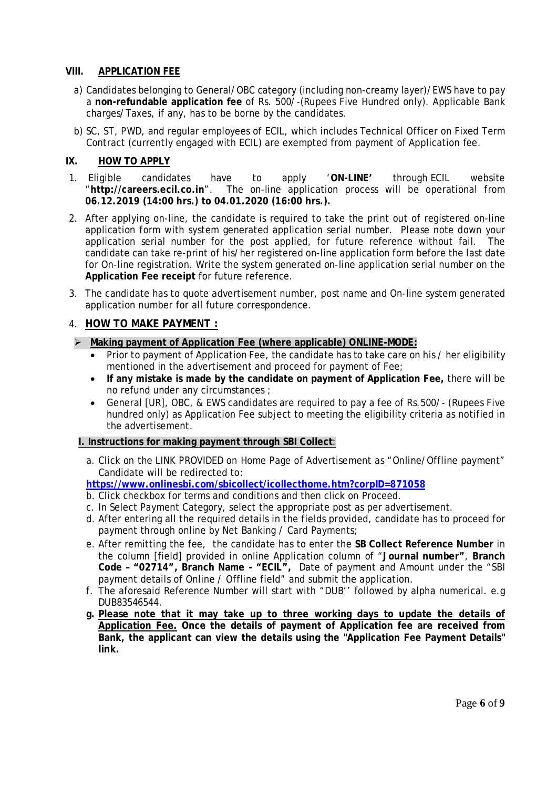# **VIII. APPLICATION FEE**

- a) Candidates belonging to General/OBC category (including non-creamy layer)/EWS have to pay a **non-refundable application fee** of Rs. 500/-(Rupees Five Hundred only). Applicable Bank charges/Taxes, if any, has to be borne by the candidates.
- b) SC, ST, PWD, and regular employees of ECIL, which includes Technical Officer on Fixed Term Contract (currently engaged with ECIL) are exempted from payment of Application fee.

# **IX. HOW TO APPLY**

- 1. Eligible candidates have to apply '**ON-LINE'** through ECIL website "**http://careers.ecil.co.in**". The on-line application process will be operational from **06.12.2019 (14:00 hrs.) to 04.01.2020 (16:00 hrs.).**
- 2. After applying on-line, the candidate is required to take the print out of registered on-line application form with system generated application serial number. Please note down your application serial number for the post applied, for future reference without fail. The candidate can take re-print of his/her registered on-line application form before the last date for On-line registration. Write the system generated on-line application serial number on the **Application Fee receipt** for future reference.
- 3. The candidate has to quote advertisement number, post name and On-line system generated application number for all future correspondence.

# 4. **HOW TO MAKE PAYMENT :**

### **Making payment of Application Fee (where applicable) ONLINE-MODE:**

- Prior to payment of Application Fee, the candidate has to take care on his / her eligibility mentioned in the advertisement and proceed for payment of Fee;
- **If any mistake is made by the candidate on payment of Application Fee,** there will be no refund under any circumstances ;
- General [UR], OBC, & EWS candidates are required to pay a fee of Rs.500/- (Rupees Five hundred only) as Application Fee subject to meeting the eligibility criteria as notified in the advertisement.

### **I. Instructions for making payment through SBI Collect**:

a. Click on the LINK PROVIDED on Home Page of Advertisement as "Online/Offline payment" Candidate will be redirected to:

### **https://www.onlinesbi.com/sbicollect/icollecthome.htm?corpID=871058**

- b. Click checkbox for terms and conditions and then click on Proceed.
- c. In Select Payment Category, select the appropriate post as per advertisement.
- d. After entering all the required details in the fields provided, candidate has to proceed for payment through online by Net Banking / Card Payments;
- e. After remitting the fee, the candidate has to enter the **SB Collect Reference Number** in the column [field] provided in online Application column of "**Journal number"**, **Branch Code – "02714", Branch Name - "ECIL",** Date of payment and Amount under the "SBI payment details of Online / Offline field" and submit the application.
- f. The aforesaid Reference Number will start with "DUB'' followed by alpha numerical. e.g DUB83546544.
- **g. Please note that it may take up to three working days to update the details of Application Fee. Once the details of payment of Application fee are received from Bank, the applicant can view the details using the "Application Fee Payment Details" link.**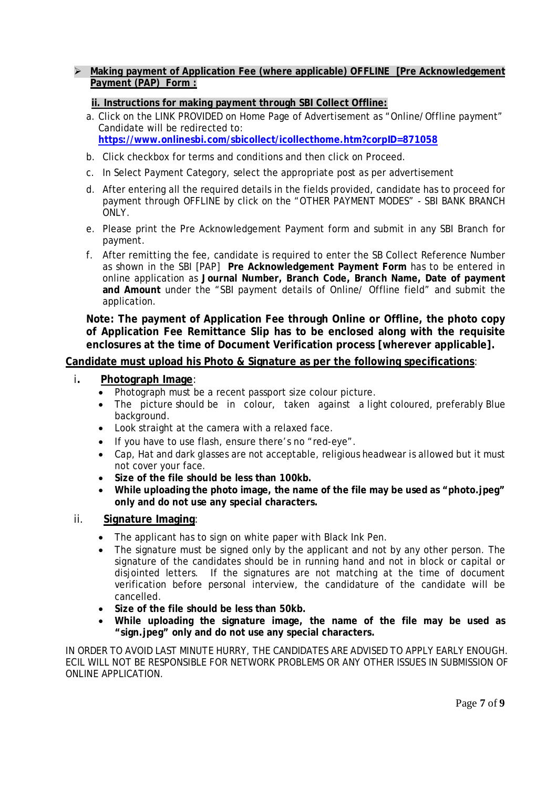# **Making payment of Application Fee (where applicable) OFFLINE [Pre Acknowledgement Payment (PAP) Form :**

# **ii. Instructions for making payment through SBI Collect Offline:**

- a. Click on the LINK PROVIDED on Home Page of Advertisement as "Online/Offline payment" Candidate will be redirected to: **https://www.onlinesbi.com/sbicollect/icollecthome.htm?corpID=871058**
- b. Click checkbox for terms and conditions and then click on Proceed.
- c. In Select Payment Category, select the appropriate post as per advertisement
- d. After entering all the required details in the fields provided, candidate has to proceed for payment through OFFLINE by click on the "OTHER PAYMENT MODES" - SBI BANK BRANCH ONLY.
- e. Please print the Pre Acknowledgement Payment form and submit in any SBI Branch for payment.
- f. After remitting the fee, candidate is required to enter the SB Collect Reference Number as shown in the SBI [PAP] **Pre Acknowledgement Payment Form** has to be entered in online application as **Journal Number, Branch Code, Branch Name, Date of payment and Amount** under the "SBI payment details of Online/ Offline field" and submit the application.

**Note: The payment of Application Fee through Online or Offline, the photo copy of Application Fee Remittance Slip has to be enclosed along with the requisite enclosures at the time of Document Verification process [wherever applicable].**

### **Candidate must upload his Photo & Signature as per the following specifications**:

#### i**. Photograph Image**:

- Photograph must be a recent passport size colour picture.
- The picture should be in colour, taken against a light coloured, preferably Blue background.
- Look straight at the camera with a relaxed face.
- If you have to use flash, ensure there's no "red-eye".
- Cap, Hat and dark glasses are not acceptable, religious headwear is allowed but it must not cover your face.
- **Size of the file should be less than 100kb.**
- **While uploading the photo image, the name of the file may be used as "photo.jpeg" only and do not use any special characters.**

### ii. **Signature Imaging**:

- The applicant has to sign on white paper with Black Ink Pen.
- The signature must be signed only by the applicant and not by any other person. The signature of the candidates should be in running hand and not in block or capital or disjointed letters. If the signatures are not matching at the time of document verification before personal interview, the candidature of the candidate will be cancelled.
- **Size of the file should be less than 50kb.**
- **While uploading the signature image, the name of the file may be used as "sign.jpeg" only and do not use any special characters.**

IN ORDER TO AVOID LAST MINUTE HURRY, THE CANDIDATES ARE ADVISED TO APPLY EARLY ENOUGH. ECIL WILL NOT BE RESPONSIBLE FOR NETWORK PROBLEMS OR ANY OTHER ISSUES IN SUBMISSION OF ONLINE APPLICATION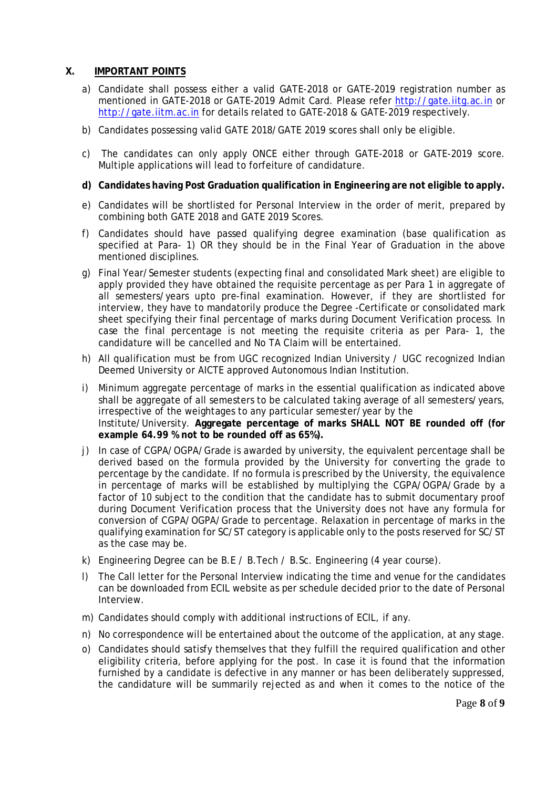# **X. IMPORTANT POINTS**

- a) Candidate shall possess either a valid GATE-2018 or GATE-2019 registration number as mentioned in GATE-2018 or GATE-2019 Admit Card. Please refer http://gate.iitg.ac.in or http://gate.iitm.ac.in for details related to GATE-2018 & GATE-2019 respectively.
- b) Candidates possessing valid GATE 2018/GATE 2019 scores shall only be eligible.
- c) The candidates can only apply ONCE either through GATE-2018 or GATE-2019 score. Multiple applications will lead to forfeiture of candidature.

#### **d) Candidates having Post Graduation qualification in Engineering are not eligible to apply.**

- e) Candidates will be shortlisted for Personal Interview in the order of merit, prepared by combining both GATE 2018 and GATE 2019 Scores.
- f) Candidates should have passed qualifying degree examination (base qualification as specified at Para- 1) OR they should be in the Final Year of Graduation in the above mentioned disciplines.
- g) Final Year/Semester students (expecting final and consolidated Mark sheet) are eligible to apply provided they have obtained the requisite percentage as per Para 1 in aggregate of all semesters/years upto pre-final examination. However, if they are shortlisted for interview, they have to mandatorily produce the Degree -Certificate or consolidated mark sheet specifying their final percentage of marks during Document Verification process. In case the final percentage is not meeting the requisite criteria as per Para- 1, the candidature will be cancelled and No TA Claim will be entertained.
- h) All qualification must be from UGC recognized Indian University / UGC recognized Indian Deemed University or AICTE approved Autonomous Indian Institution.
- i) Minimum aggregate percentage of marks in the essential qualification as indicated above shall be aggregate of all semesters to be calculated taking average of all semesters/years, irrespective of the weightages to any particular semester/year by the Institute/University. **Aggregate percentage of marks SHALL NOT BE rounded off (for example 64.99 % not to be rounded off as 65%).**
- j) In case of CGPA/OGPA/Grade is awarded by university, the equivalent percentage shall be derived based on the formula provided by the University for converting the grade to percentage by the candidate. If no formula is prescribed by the University, the equivalence in percentage of marks will be established by multiplying the CGPA/OGPA/Grade by a factor of 10 subject to the condition that the candidate has to submit documentary proof during Document Verification process that the University does not have any formula for conversion of CGPA/OGPA/Grade to percentage. Relaxation in percentage of marks in the qualifying examination for SC/ST category is applicable only to the posts reserved for SC/ST as the case may be.
- k) Engineering Degree can be B.E / B.Tech / B.Sc. Engineering (4 year course).
- l) The Call letter for the Personal Interview indicating the time and venue for the candidates can be downloaded from ECIL website as per schedule decided prior to the date of Personal Interview.
- m) Candidates should comply with additional instructions of ECIL, if any.
- n) No correspondence will be entertained about the outcome of the application, at any stage.
- o) Candidates should satisfy themselves that they fulfill the required qualification and other eligibility criteria, before applying for the post. In case it is found that the information furnished by a candidate is defective in any manner or has been deliberately suppressed, the candidature will be summarily rejected as and when it comes to the notice of the